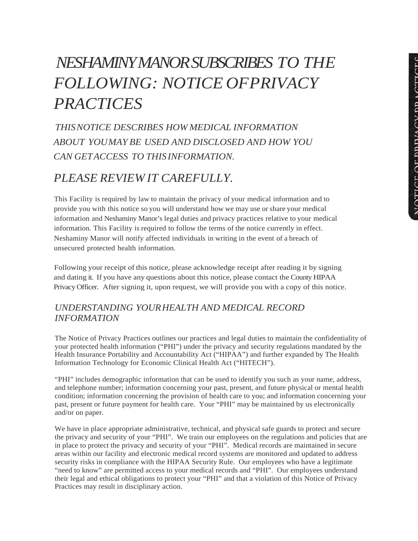# *NESHAMINY MANOR SUBSCRIBES TO THE FOLLOWING: NOTICE OFPRIVACY PRACTICES*

*THISNOTICE DESCRIBES HOW MEDICAL INFORMATION ABOUT YOUMAY BE USED AND DISCLOSED AND HOW YOU CAN GETACCESS TO THISINFORMATION.*

# *PLEASE REVIEW IT CAREFULLY.*

This Facility is required by law to maintain the privacy of your medical information and to provide you with this notice so you will understand how we may use or share your medical information and Neshaminy Manor's legal duties and privacy practices relative to your medical information. This Facility is required to follow the terms of the notice currently in effect. Neshaminy Manor will notify affected individuals in writing in the event of a breach of unsecured protected health information.

Following your receipt of this notice, please acknowledge receipt after reading it by signing and dating it. If you have any questions about this notice, please contact the County HIPAA Privacy Officer. After signing it, upon request, we will provide you with a copy of this notice.

## *UNDERSTANDING YOURHEALTH AND MEDICAL RECORD INFORMATION*

The Notice of Privacy Practices outlines our practices and legal duties to maintain the confidentiality of your protected health information ("PHI") under the privacy and security regulations mandated by the Health Insurance Portability and Accountability Act ("HIPAA") and further expanded by The Health Information Technology for Economic Clinical Health Act ("HITECH").

"PHI" includes demographic information that can be used to identify you such as your name, address, and telephone number; information concerning your past, present, and future physical or mental health condition; information concerning the provision of health care to you; and information concerning your past, present or future payment for health care. Your "PHI" may be maintained by us electronically and/or on paper.

We have in place appropriate administrative, technical, and physical safe guards to protect and secure the privacy and security of your "PHI". We train our employees on the regulations and policies that are in place to protect the privacy and security of your "PHI". Medical records are maintained in secure areas within our facility and electronic medical record systems are monitored and updated to address security risks in compliance with the HIPAA Security Rule. Our employees who have a legitimate "need to know" are permitted access to your medical records and "PHI". Our employees understand their legal and ethical obligations to protect your "PHI" and that a violation of this Notice of Privacy Practices may result in disciplinary action.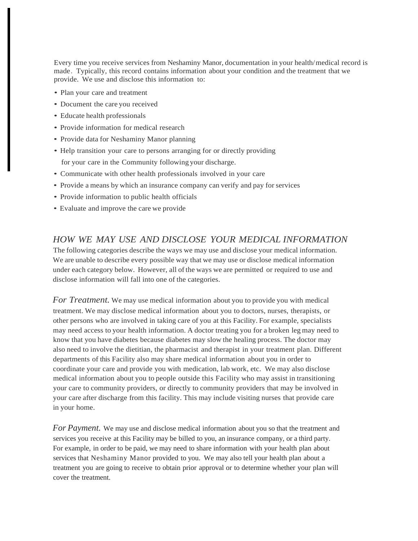Every time you receive services from Neshaminy Manor, documentation in your health/medical record is made. Typically, this record contains information about your condition and the treatment that we provide. We use and disclose this information to:

- Plan your care and treatment
- Document the care you received
- Educate health professionals
- Provide information for medical research
- Provide data for Neshaminy Manor planning
- Help transition your care to persons arranging for or directly providing for your care in the Community following your discharge.
- Communicate with other health professionals involved in your care
- Provide a means by which an insurance company can verify and pay for services
- Provide information to public health officials
- Evaluate and improve the care we provide

#### *HOW WE MAY USE AND DISCLOSE YOUR MEDICAL INFORMATION*

The following categories describe the ways we may use and disclose your medical information. We are unable to describe every possible way that we may use or disclose medical information under each category below. However, all of the ways we are permitted or required to use and disclose information will fall into one of the categories.

*For Treatment.* We may use medical information about you to provide you with medical treatment. We may disclose medical information about you to doctors, nurses, therapists, or other persons who are involved in taking care of you at this Facility. For example, specialists may need access to your health information. A doctor treating you for a broken leg may need to know that you have diabetes because diabetes may slow the healing process. The doctor may also need to involve the dietitian, the pharmacist and therapist in your treatment plan. Different departments of this Facility also may share medical information about you in order to coordinate your care and provide you with medication, lab work, etc. We may also disclose medical information about you to people outside this Facility who may assist in transitioning your care to community providers, or directly to community providers that may be involved in your care after discharge from this facility. This may include visiting nurses that provide care in your home.

*For Payment.* We may use and disclose medical information about you so that the treatment and services you receive at this Facility may be billed to you, an insurance company, or a third party. For example, in order to be paid, we may need to share information with your health plan about services that Neshaminy Manor provided to you. We may also tell your health plan about a treatment you are going to receive to obtain prior approval or to determine whether your plan will cover the treatment.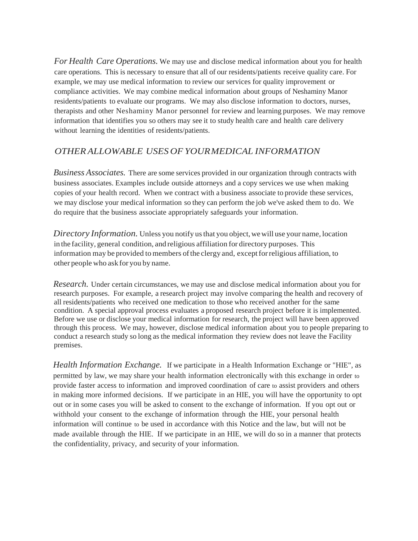*For Health Care Operations.* We may use and disclose medical information about you for health care operations. This is necessary to ensure that all of our residents/patients receive quality care. For example, we may use medical information to review our services for quality improvement or compliance activities. We may combine medical information about groups of Neshaminy Manor residents/patients to evaluate our programs. We may also disclose information to doctors, nurses, therapists and other Neshaminy Manor personnel for review and learning purposes. We may remove information that identifies you so others may see it to study health care and health care delivery without learning the identities of residents/patients.

## *OTHER ALLOWABLE USES OF YOURMEDICAL INFORMATION*

*Business Associates.* There are some services provided in our organization through contracts with business associates. Examples include outside attorneys and a copy services we use when making copies of your health record. When we contract with a business associate to provide these services, we may disclose your medical information so they can perform the job we've asked them to do. We do require that the business associate appropriately safeguards your information.

*Directory Information*. Unless you notify us that you object, we will use your name, location in the facility, general condition, and religious affiliation for directory purposes. This information may be provided to members of the clergy and, except for religious affiliation, to other people who ask for you by name.

*Research.* Under certain circumstances, we may use and disclose medical information about you for research purposes. For example, a research project may involve comparing the health and recovery of all residents/patients who received one medication to those who received another for the same condition. A special approval process evaluates a proposed research project before it is implemented. Before we use or disclose your medical information for research, the project will have been approved through this process. We may, however, disclose medical information about you to people preparing to conduct a research study so long as the medical information they review does not leave the Facility premises.

*Health Information Exchange.* If we participate in a Health Information Exchange or "HIE", as permitted by law, we may share your health information electronically with this exchange in order to provide faster access to information and improved coordination of care to assist providers and others in making more informed decisions. If we participate in an HIE, you will have the opportunity to opt out or in some cases you will be asked to consent to the exchange of information. If you opt out or withhold your consent to the exchange of information through the HIE, your personal health information will continue to be used in accordance with this Notice and the law, but will not be made available through the HIE. If we participate in an HIE, we will do so in a manner that protects the confidentiality, privacy, and security of your information.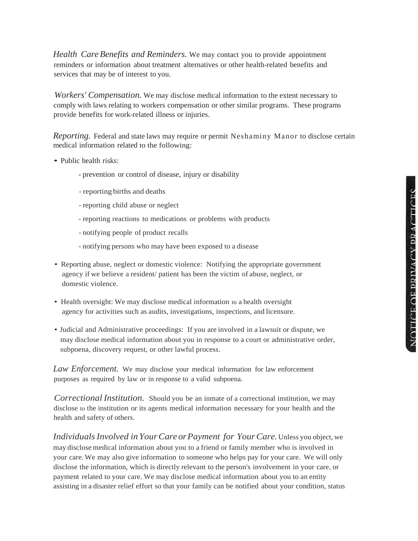*Health CareBenefits and Reminders.* We may contact you to provide appointment reminders or information about treatment alternatives or other health-related benefits and services that may be of interest to you.

*Workers' Compensation.* We may disclose medical information to the extent necessary to comply with laws relating to workers compensation or other similar programs. These programs provide benefits for work-related illness or injuries.

*Reporting.* Federal and state laws may require or permit Neshaminy Manor to disclose certain medical information related to the following:

- Public health risks:
	- prevention or control of disease, injury or disability
	- reporting births and deaths
	- reporting child abuse or neglect
	- reporting reactions to medications or problems with products
	- notifying people of product recalls
	- notifying persons who may have been exposed to a disease
- Reporting abuse, neglect or domestic violence: Notifying the appropriate government agency if we believe a resident/ patient has been the victim of abuse, neglect, or domestic violence.
- Health oversight: We may disclose medical information to a health oversight agency for activities such as audits, investigations, inspections, and licensure.
- Judicial and Administrative proceedings: If you are involved in a lawsuit or dispute, we may disclose medical information about you in response to a court or administrative order, subpoena, discovery request, or other lawful process.

*Law Enforcement.* We may disclose your medical information for law enforcement purposes as required by law or in response to a valid subpoena.

*Correctional Institution.* Should you be an inmate of a correctional institution, we may disclose to the institution or its agents medical information necessary for your health and the health and safety of others.

*IndividualsInvolved inYourCareorPayment for YourCare.*Unless you object, we may disclose medical information about you to a friend or family member who is involved in your care. We may also give information to someone who helps pay for your care. We will only disclose the information, which is directly relevant to the person's involvement in your care, or payment related to your care. We may disclose medical information about you to an entity assisting in a disaster relief effort so that your family can be notified about your condition, status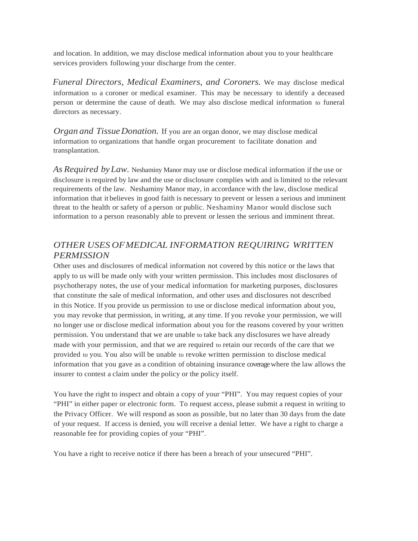and location. In addition, we may disclose medical information about you to your healthcare services providers following your discharge from the center.

*Funeral Directors, Medical Examiners, and Coroners.* We may disclose medical information to a coroner or medical examiner. This may be necessary to identify a deceased person or determine the cause of death. We may also disclose medical information to funeral directors as necessary.

*Organ and Tissue Donation.* If you are an organ donor, we may disclose medical information to organizations that handle organ procurement to facilitate donation and transplantation.

*As Required byLaw.* Neshaminy Manor may use or disclose medical information if the use or disclosure is required by law and the use or disclosure complies with and is limited to the relevant requirements of the law. Neshaminy Manor may, in accordance with the law, disclose medical information that it believes in good faith is necessary to prevent or lessen a serious and imminent threat to the health or safety of a person or public. Neshaminy Manor would disclose such information to a person reasonably able to prevent or lessen the serious and imminent threat.

## *OTHER USES OFMEDICAL INFORMATION REQUIRING WRITTEN PERMISSION*

Other uses and disclosures of medical information not covered by this notice or the laws that apply to us will be made only with your written permission. This includes most disclosures of psychotherapy notes, the use of your medical information for marketing purposes, disclosures that constitute the sale of medical information, and other uses and disclosures not described in this Notice. If you provide us permission to use or disclose medical information about you, you may revoke that permission, in writing, at any time. If you revoke your permission, we will no longer use or disclose medical information about you for the reasons covered by your written permission. You understand that we are unable to take back any disclosures we have already made with your permission, and that we are required to retain our records of the care that we provided to you. You also will be unable to revoke written permission to disclose medical information that you gave as a condition of obtaining insurance coveragewhere the law allows the insurer to contest a claim under the policy or the policy itself.

You have the right to inspect and obtain a copy of your "PHI". You may request copies of your "PHI" in either paper or electronic form. To request access, please submit a request in writing to the Privacy Officer. We will respond as soon as possible, but no later than 30 days from the date of your request. If access is denied, you will receive a denial letter. We have a right to charge a reasonable fee for providing copies of your "PHI".

You have a right to receive notice if there has been a breach of your unsecured "PHI".